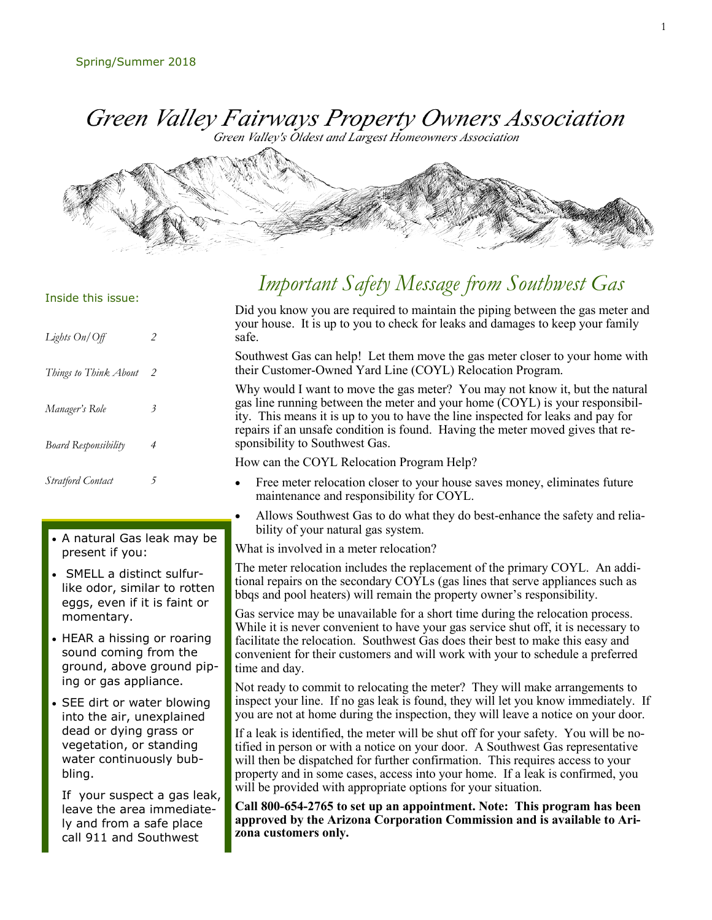Green Valley Fairways Property Owners Association

Green Valley's Oldest and Largest Homeowners Association



## *Important Safety Message from Southwest Gas*

Inside this issue:

| Lights On/Off               | $\overline{c}$ |
|-----------------------------|----------------|
| Things to Think About       | $\mathcal{P}$  |
| Manager's Role              | 3              |
| <b>Board Responsibility</b> | 4              |
| <b>Stratford Contact</b>    | 5              |

- A natural Gas leak may be present if you:
- SMELL a distinct sulfurlike odor, similar to rotten eggs, even if it is faint or momentary.
- HEAR a hissing or roaring sound coming from the ground, above ground piping or gas appliance.
- SEE dirt or water blowing into the air, unexplained dead or dying grass or vegetation, or standing water continuously bubbling.

If your suspect a gas leak, leave the area immediately and from a safe place call 911 and Southwest

Did you know you are required to maintain the piping between the gas meter and your house. It is up to you to check for leaks and damages to keep your family safe.

Southwest Gas can help! Let them move the gas meter closer to your home with their Customer-Owned Yard Line (COYL) Relocation Program.

Why would I want to move the gas meter? You may not know it, but the natural gas line running between the meter and your home (COYL) is your responsibility. This means it is up to you to have the line inspected for leaks and pay for repairs if an unsafe condition is found. Having the meter moved gives that responsibility to Southwest Gas.

How can the COYL Relocation Program Help?

- Free meter relocation closer to your house saves money, eliminates future maintenance and responsibility for COYL.
- Allows Southwest Gas to do what they do best-enhance the safety and reliability of your natural gas system.

What is involved in a meter relocation?

The meter relocation includes the replacement of the primary COYL. An additional repairs on the secondary COYLs (gas lines that serve appliances such as bbqs and pool heaters) will remain the property owner's responsibility.

Gas service may be unavailable for a short time during the relocation process. While it is never convenient to have your gas service shut off, it is necessary to facilitate the relocation. Southwest Gas does their best to make this easy and convenient for their customers and will work with your to schedule a preferred time and day.

Not ready to commit to relocating the meter? They will make arrangements to inspect your line. If no gas leak is found, they will let you know immediately. If you are not at home during the inspection, they will leave a notice on your door.

If a leak is identified, the meter will be shut off for your safety. You will be notified in person or with a notice on your door. A Southwest Gas representative will then be dispatched for further confirmation. This requires access to your property and in some cases, access into your home. If a leak is confirmed, you will be provided with appropriate options for your situation.

**Call 800-654-2765 to set up an appointment. Note: This program has been approved by the Arizona Corporation Commission and is available to Arizona customers only.**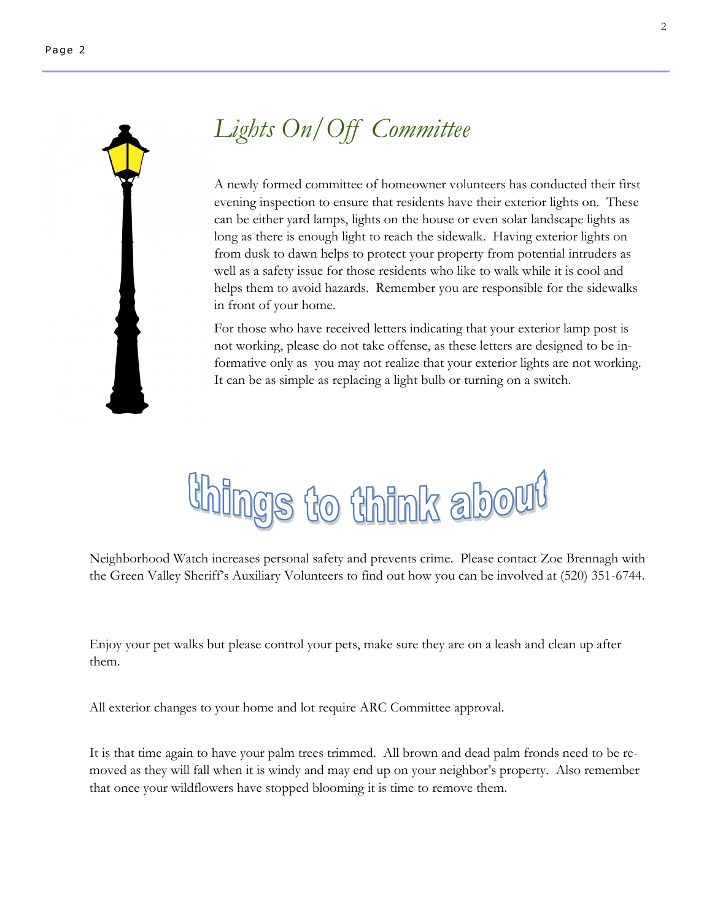

# *Lights On/Off Committee*

A newly formed committee of homeowner volunteers has conducted their first evening inspection to ensure that residents have their exterior lights on. These can be either yard lamps, lights on the house or even solar landscape lights as long as there is enough light to reach the sidewalk. Having exterior lights on from dusk to dawn helps to protect your property from potential intruders as well as a safety issue for those residents who like to walk while it is cool and helps them to avoid hazards. Remember you are responsible for the sidewalks in front of your home.

For those who have received letters indicating that your exterior lamp post is not working, please do not take offense, as these letters are designed to be informative only as you may not realize that your exterior lights are not working. It can be as simple as replacing a light bulb or turning on a switch.



Neighborhood Watch increases personal safety and prevents crime. Please contact Zoe Brennagh with the Green Valley Sheriff's Auxiliary Volunteers to find out how you can be involved at (520) 351-6744.

Enjoy your pet walks but please control your pets, make sure they are on a leash and clean up after them.

All exterior changes to your home and lot require ARC Committee approval.

It is that time again to have your palm trees trimmed. All brown and dead palm fronds need to be removed as they will fall when it is windy and may end up on your neighbor's property. Also remember that once your wildflowers have stopped blooming it is time to remove them.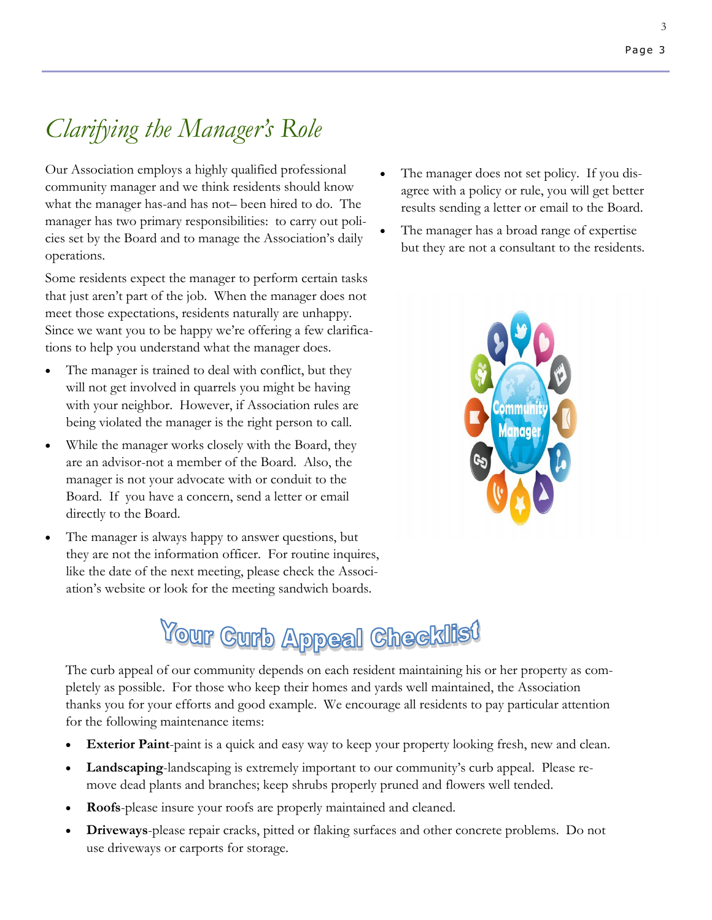# *Clarifying the Manager's Role*

Our Association employs a highly qualified professional community manager and we think residents should know what the manager has-and has not– been hired to do. The manager has two primary responsibilities: to carry out policies set by the Board and to manage the Association's daily operations.

Some residents expect the manager to perform certain tasks that just aren't part of the job. When the manager does not meet those expectations, residents naturally are unhappy. Since we want you to be happy we're offering a few clarifications to help you understand what the manager does.

- The manager is trained to deal with conflict, but they will not get involved in quarrels you might be having with your neighbor. However, if Association rules are being violated the manager is the right person to call.
- While the manager works closely with the Board, they are an advisor-not a member of the Board. Also, the manager is not your advocate with or conduit to the Board. If you have a concern, send a letter or email directly to the Board.
- The manager is always happy to answer questions, but they are not the information officer. For routine inquires, like the date of the next meeting, please check the Association's website or look for the meeting sandwich boards.
- The manager does not set policy. If you disagree with a policy or rule, you will get better results sending a letter or email to the Board.
- The manager has a broad range of expertise but they are not a consultant to the residents.



# **Your Curb Appeal Checklist**

The curb appeal of our community depends on each resident maintaining his or her property as completely as possible. For those who keep their homes and yards well maintained, the Association thanks you for your efforts and good example. We encourage all residents to pay particular attention for the following maintenance items:

- **Exterior Paint**-paint is a quick and easy way to keep your property looking fresh, new and clean.
- **Landscaping**-landscaping is extremely important to our community's curb appeal. Please remove dead plants and branches; keep shrubs properly pruned and flowers well tended.
- **Roofs**-please insure your roofs are properly maintained and cleaned.
- **Driveways**-please repair cracks, pitted or flaking surfaces and other concrete problems. Do not use driveways or carports for storage.

Page 3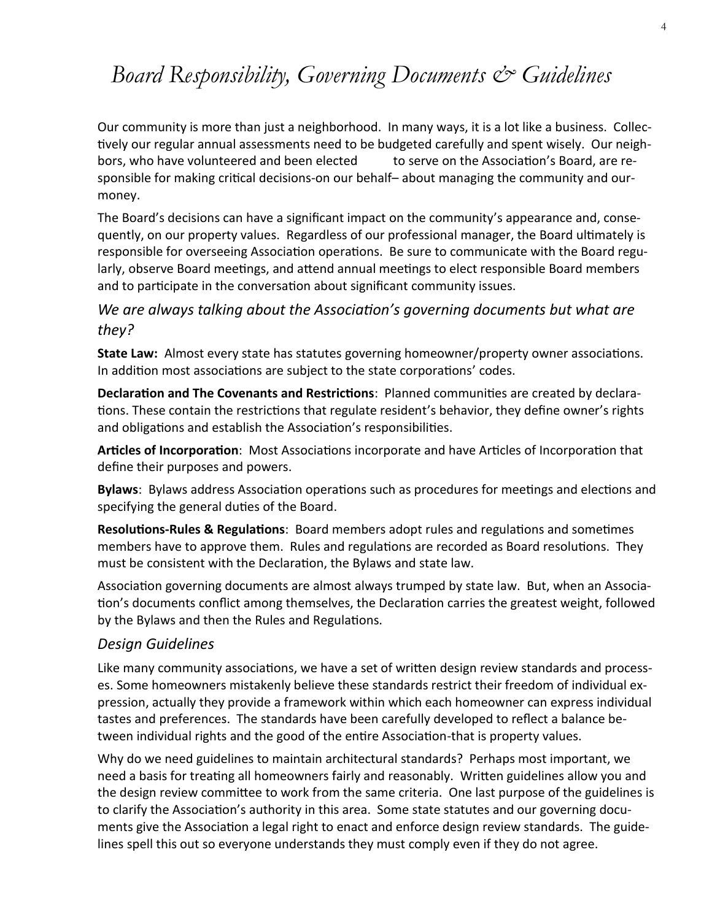## *Board Responsibility, Governing Documents & Guidelines*

Our community is more than just a neighborhood. In many ways, it is a lot like a business. Collectively our regular annual assessments need to be budgeted carefully and spent wisely. Our neighbors, who have volunteered and been elected to serve on the Association's Board, are responsible for making critical decisions-on our behalf– about managing the community and ourmoney.

The Board's decisions can have a significant impact on the community's appearance and, consequently, on our property values. Regardless of our professional manager, the Board ultimately is responsible for overseeing Association operations. Be sure to communicate with the Board regularly, observe Board meetings, and attend annual meetings to elect responsible Board members and to participate in the conversation about significant community issues.

## *We are always talking about the Association's governing documents but what are they?*

**State Law:** Almost every state has statutes governing homeowner/property owner associations. In addition most associations are subject to the state corporations' codes.

**Declaration and The Covenants and Restrictions**: Planned communities are created by declarations. These contain the restrictions that regulate resident's behavior, they define owner's rights and obligations and establish the Association's responsibilities.

**Articles of Incorporation**: Most Associations incorporate and have Articles of Incorporation that define their purposes and powers.

**Bylaws**: Bylaws address Association operations such as procedures for meetings and elections and specifying the general duties of the Board.

**Resolutions-Rules & Regulations**: Board members adopt rules and regulations and sometimes members have to approve them. Rules and regulations are recorded as Board resolutions. They must be consistent with the Declaration, the Bylaws and state law.

Association governing documents are almost always trumped by state law. But, when an Association's documents conflict among themselves, the Declaration carries the greatest weight, followed by the Bylaws and then the Rules and Regulations.

### *Design Guidelines*

Like many community associations, we have a set of written design review standards and processes. Some homeowners mistakenly believe these standards restrict their freedom of individual expression, actually they provide a framework within which each homeowner can express individual tastes and preferences. The standards have been carefully developed to reflect a balance between individual rights and the good of the entire Association-that is property values.

Why do we need guidelines to maintain architectural standards? Perhaps most important, we need a basis for treating all homeowners fairly and reasonably. Written guidelines allow you and the design review committee to work from the same criteria. One last purpose of the guidelines is to clarify the Association's authority in this area. Some state statutes and our governing documents give the Association a legal right to enact and enforce design review standards. The guidelines spell this out so everyone understands they must comply even if they do not agree.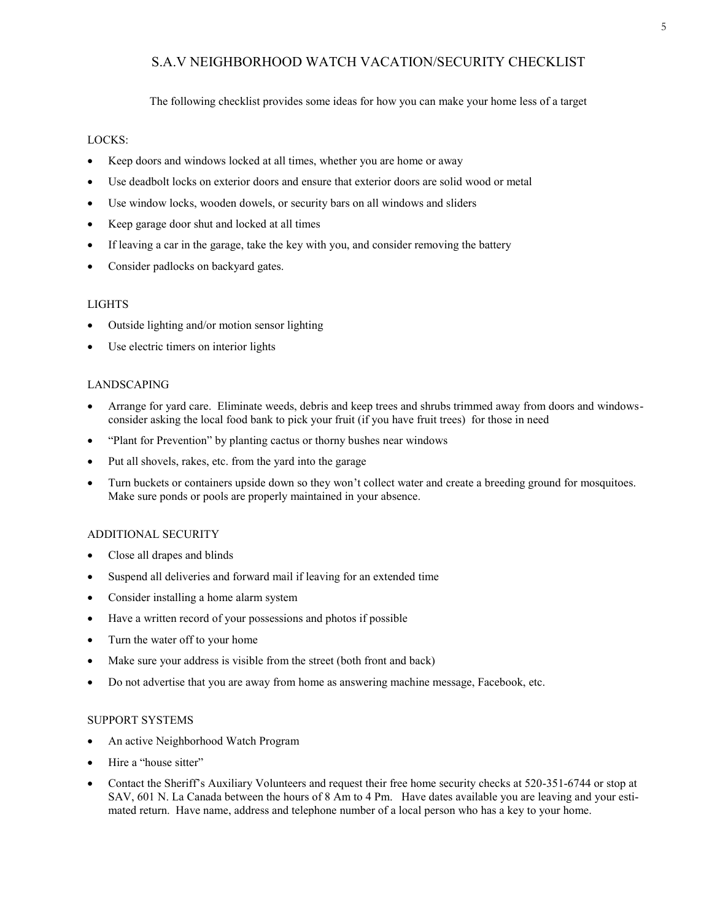#### S.A.V NEIGHBORHOOD WATCH VACATION/SECURITY CHECKLIST

The following checklist provides some ideas for how you can make your home less of a target

#### LOCKS:

- Keep doors and windows locked at all times, whether you are home or away
- Use deadbolt locks on exterior doors and ensure that exterior doors are solid wood or metal
- Use window locks, wooden dowels, or security bars on all windows and sliders
- Keep garage door shut and locked at all times
- If leaving a car in the garage, take the key with you, and consider removing the battery
- Consider padlocks on backyard gates.

#### LIGHTS

- Outside lighting and/or motion sensor lighting
- Use electric timers on interior lights

#### LANDSCAPING

- Arrange for yard care. Eliminate weeds, debris and keep trees and shrubs trimmed away from doors and windowsconsider asking the local food bank to pick your fruit (if you have fruit trees) for those in need
- "Plant for Prevention" by planting cactus or thorny bushes near windows
- Put all shovels, rakes, etc. from the yard into the garage
- Turn buckets or containers upside down so they won't collect water and create a breeding ground for mosquitoes. Make sure ponds or pools are properly maintained in your absence.

#### ADDITIONAL SECURITY

- Close all drapes and blinds
- Suspend all deliveries and forward mail if leaving for an extended time
- Consider installing a home alarm system
- Have a written record of your possessions and photos if possible
- Turn the water off to your home
- Make sure your address is visible from the street (both front and back)
- Do not advertise that you are away from home as answering machine message, Facebook, etc.

#### SUPPORT SYSTEMS

- An active Neighborhood Watch Program
- Hire a "house sitter"
- Contact the Sheriff's Auxiliary Volunteers and request their free home security checks at 520-351-6744 or stop at SAV, 601 N. La Canada between the hours of 8 Am to 4 Pm. Have dates available you are leaving and your estimated return. Have name, address and telephone number of a local person who has a key to your home.